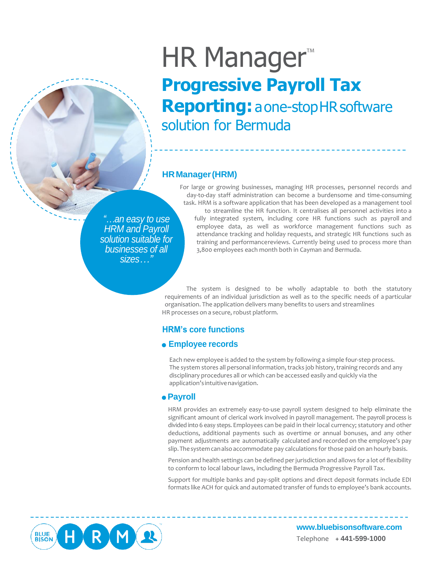# HR Manager<sup>™</sup> **Progressive Payroll Tax Reporting:** aone-stopHRsoftware solution for Bermuda

# **HRManager(HRM)**

*"…an easy to use HRM and Payroll solution suitable for businesses of all sizes…"*

For large or growing businesses, managing HR processes, personnel records and day-to-day staff administration can become a burdensome and time-consuming task. HRM is a software application that has been developed as a management tool to streamline the HR function. It centralises all personnel activities into a fully integrated system, including core HR functions such as payroll and employee data, as well as workforce management functions such as attendance tracking and holiday requests, and strategic HR functions such as training and performancereviews. Currently being used to process more than 3,800 employees each month both in Cayman and Bermuda.

The system is designed to be wholly adaptable to both the statutory requirements of an individual jurisdiction as well as to the specific needs of a particular organisation. The application delivers many benefits to users and streamlines HR processes on a secure, robust platform.

# **HRM's core functions**

# **Employee records**

Each new employee is added to the system by following a simple four-step process. The system stores all personal information, tracks job history, training records and any disciplinary procedures all or which can be accessed easily and quickly via the application's intuitivenavigation.

## **Payroll**

HRM provides an extremely easy-to-use payroll system designed to help eliminate the significant amount of clerical work involved in payroll management. The payroll process is divided into 6 easy steps. Employees can be paid in their local currency; statutory and other deductions, additional payments such as overtime or annual bonuses, and any other payment adjustments are automatically calculated and recorded on the employee's pay slip.Thesystemcanalsoaccommodate pay calculations for those paid on an hourly basis.

Pension and health settings can be defined per jurisdiction and allows for a lot of flexibility to conform to local labour laws, including the Bermuda Progressive Payroll Tax.

Support for multiple banks and pay-split options and direct deposit formats include EDI formats like ACH for quick and automated transfer of funds to employee's bank accounts.



**[www.bluebisonsoftware.com](http://www.bluebisonsoftware.com/)** Telephone **+ 441-599-1000**